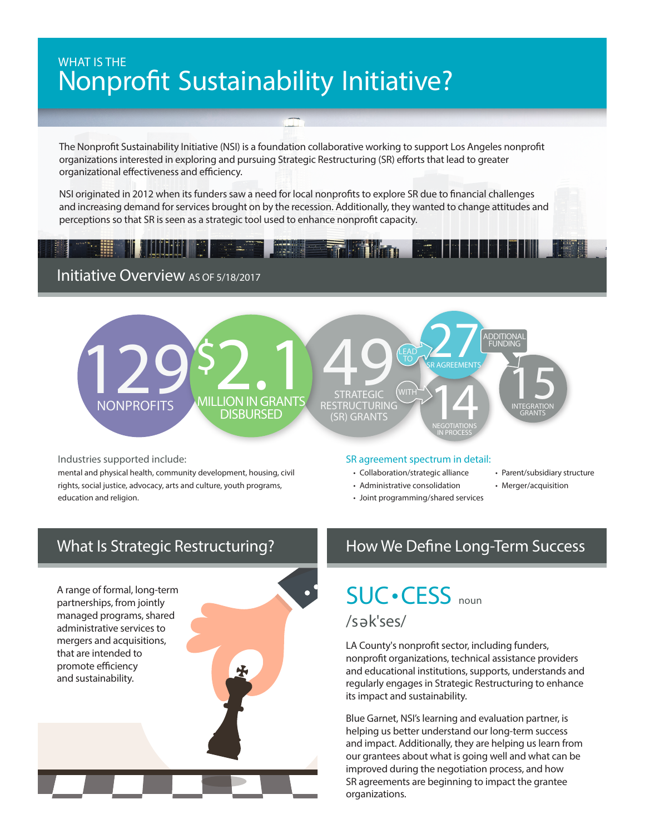# WHAT IS THE Nonprofit Sustainability Initiative?

The Nonprofit Sustainability Initiative (NSI) is a foundation collaborative working to support Los Angeles nonprofit organizations interested in exploring and pursuing Strategic Restructuring (SR) efforts that lead to greater NSI originated in 2012 when its funders saw a need for local nonprofits to explore SR due to financial challenges and increasing demand for organizational effectiveness and efficiency.

NSI originated in 2012 when its funders saw a need for local nonprofits to explore SR due to financial challenges and increasing demand for services brought on by the recession. Additionally, they wanted to change attitudes and perceptions so that SR is seen as a strategic tool used to enhance nonprofit capacity.

### Initiative Overview AS OF 5/18/2017



Industries supported include:

mental and physical health, community development, housing, civil rights, social justice, advocacy, arts and culture, youth programs, education and religion.

#### SR agreement spectrum in detail:

- Collaboration/strategic alliance
- Administrative consolidation
- Joint programming/shared services
- Parent/subsidiary structure
- Merger/acquisition

**There** is a

A range of formal, long-term partnerships, from jointly managed programs, shared administrative services to mergers and acquisitions, that are intended to promote efficiency and sustainability.

# What Is Strategic Restructuring? How We Define Long-Term Success

SUC•CESS noun

/sək<sup>'</sup>ses/

LA County's nonprofit sector, including funders, nonprofit organizations, technical assistance providers and educational institutions, supports, understands and regularly engages in Strategic Restructuring to enhance its impact and sustainability.

Blue Garnet, NSI's learning and evaluation partner, is helping us better understand our long-term success and impact. Additionally, they are helping us learn from our grantees about what is going well and what can be improved during the negotiation process, and how SR agreements are beginning to impact the grantee organizations.